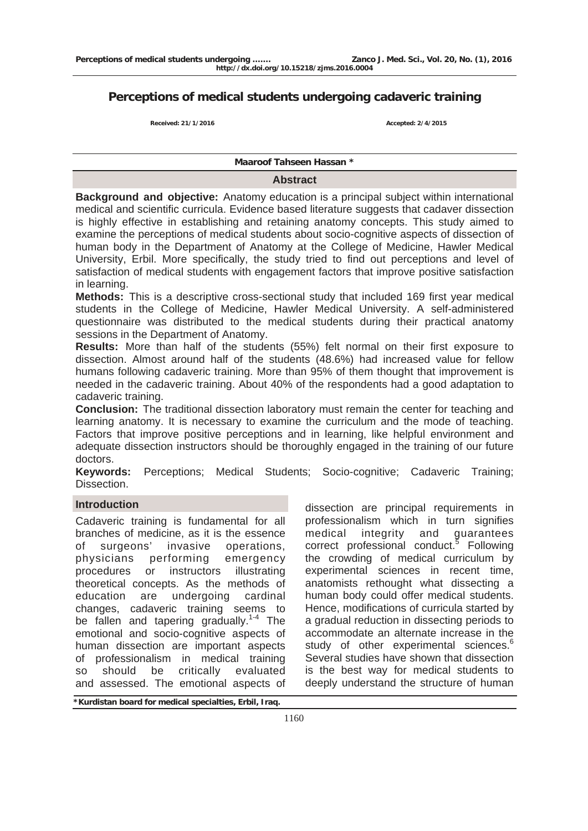# **Perceptions of medical students undergoing cadaveric training**

**Received: 21/1/2016 Accepted: 2/4/2015** 

#### **Maaroof Tahseen Hassan \***

#### **Abstract**

**Background and objective:** Anatomy education is a principal subject within international medical and scientific curricula. Evidence based literature suggests that cadaver dissection is highly effective in establishing and retaining anatomy concepts. This study aimed to examine the perceptions of medical students about socio-cognitive aspects of dissection of human body in the Department of Anatomy at the College of Medicine, Hawler Medical University, Erbil. More specifically, the study tried to find out perceptions and level of satisfaction of medical students with engagement factors that improve positive satisfaction in learning.

**Methods:** This is a descriptive cross-sectional study that included 169 first year medical students in the College of Medicine, Hawler Medical University. A self-administered questionnaire was distributed to the medical students during their practical anatomy sessions in the Department of Anatomy.

**Results:** More than half of the students (55%) felt normal on their first exposure to dissection. Almost around half of the students (48.6%) had increased value for fellow humans following cadaveric training. More than 95% of them thought that improvement is needed in the cadaveric training. About 40% of the respondents had a good adaptation to cadaveric training.

**Conclusion:** The traditional dissection laboratory must remain the center for teaching and learning anatomy. It is necessary to examine the curriculum and the mode of teaching. Factors that improve positive perceptions and in learning, like helpful environment and adequate dissection instructors should be thoroughly engaged in the training of our future doctors.

**Keywords:** Perceptions; Medical Students; Socio-cognitive; Cadaveric Training; Dissection.

#### **Introduction**

Cadaveric training is fundamental for all branches of medicine, as it is the essence of surgeons' invasive operations, physicians performing emergency procedures or instructors illustrating theoretical concepts. As the methods of education are undergoing cardinal changes, cadaveric training seems to be fallen and tapering gradually.<sup>1-4</sup> The emotional and socio-cognitive aspects of human dissection are important aspects of professionalism in medical training so should be critically evaluated and assessed. The emotional aspects of

dissection are principal requirements in professionalism which in turn signifies<br>medical integrity and quarantees medical integrity and guarantees correct professional conduct.<sup>5</sup> Following the crowding of medical curriculum by experimental sciences in recent time, anatomists rethought what dissecting a human body could offer medical students. Hence, modifications of curricula started by a gradual reduction in dissecting periods to accommodate an alternate increase in the study of other experimental sciences.<sup>6</sup> Several studies have shown that dissection is the best way for medical students to deeply understand the structure of human

**\*Kurdistan board for medical specialties, Erbil, Iraq.**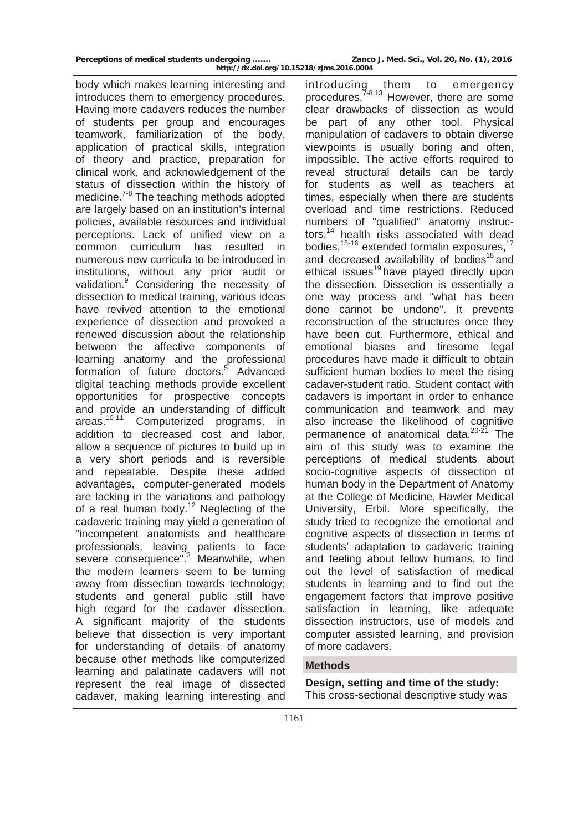body which makes learning interesting and introduces them to emergency procedures. Having more cadavers reduces the number of students per group and encourages teamwork, familiarization of the body, application of practical skills, integration of theory and practice, preparation for clinical work, and acknowledgement of the status of dissection within the history of medicine.<sup>7-8</sup> The teaching methods adopted are largely based on an institution's internal policies, available resources and individual perceptions. Lack of unified view on a common curriculum has resulted in numerous new curricula to be introduced in institutions, without any prior audit or validation.<sup>9</sup> Considering the necessity of dissection to medical training, various ideas have revived attention to the emotional experience of dissection and provoked a renewed discussion about the relationship between the affective components of learning anatomy and the professional formation of future doctors.<sup>5</sup> Advanced digital teaching methods provide excellent opportunities for prospective concepts and provide an understanding of difficult areas.<sup>10-11</sup> Computerized programs, in addition to decreased cost and labor, allow a sequence of pictures to build up in a very short periods and is reversible and repeatable. Despite these added advantages, computer-generated models are lacking in the variations and pathology of a real human body.<sup>12</sup> Neglecting of the cadaveric training may yield a generation of "incompetent anatomists and healthcare professionals, leaving patients to face severe consequence".<sup>3</sup> Meanwhile, when the modern learners seem to be turning away from dissection towards technology; students and general public still have high regard for the cadaver dissection. A significant majority of the students believe that dissection is very important for understanding of details of anatomy because other methods like computerized learning and palatinate cadavers will not represent the real image of dissected cadaver, making learning interesting and

introducing them to emergency procedures.<sup>7-8,13</sup> However, there are some clear drawbacks of dissection as would be part of any other tool. Physical manipulation of cadavers to obtain diverse viewpoints is usually boring and often, impossible. The active efforts required to reveal structural details can be tardy for students as well as teachers at times, especially when there are students overload and time restrictions. Reduced numbers of "qualified" anatomy instructors,14 health risks associated with dead bodies,<sup>15-16</sup> extended formalin exposures,<sup>17</sup> and decreased availability of bodies<sup>18</sup> and ethical issues<sup>19</sup> have played directly upon the dissection. Dissection is essentially a one way process and "what has been done cannot be undone". It prevents reconstruction of the structures once they have been cut. Furthermore, ethical and emotional biases and tiresome legal procedures have made it difficult to obtain sufficient human bodies to meet the rising cadaver-student ratio. Student contact with cadavers is important in order to enhance communication and teamwork and may also increase the likelihood of cognitive permanence of anatomical data.<sup>20-21</sup> The aim of this study was to examine the perceptions of medical students about socio-cognitive aspects of dissection of human body in the Department of Anatomy at the College of Medicine, Hawler Medical University, Erbil. More specifically, the study tried to recognize the emotional and cognitive aspects of dissection in terms of students' adaptation to cadaveric training and feeling about fellow humans, to find out the level of satisfaction of medical students in learning and to find out the engagement factors that improve positive satisfaction in learning, like adequate dissection instructors, use of models and computer assisted learning, and provision of more cadavers.

### **Methods**

**Design, setting and time of the study:**  This cross-sectional descriptive study was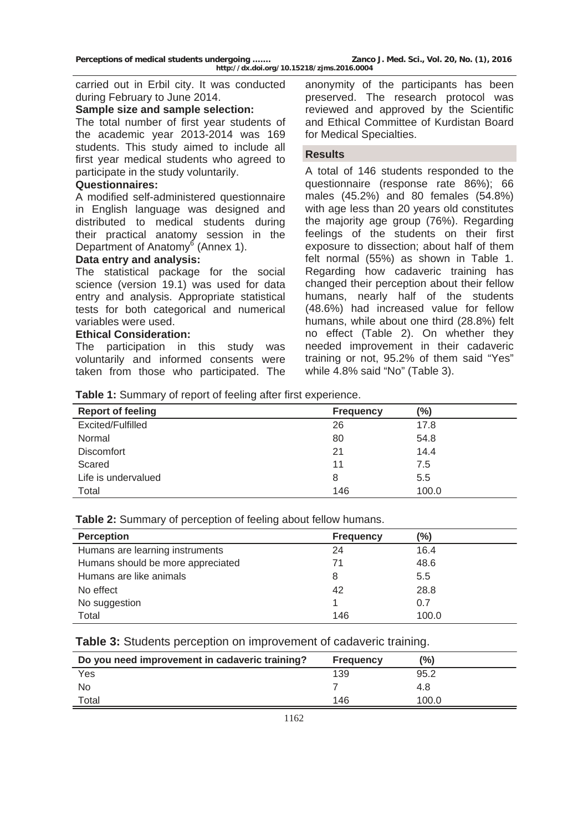carried out in Erbil city. It was conducted during February to June 2014.

#### **Sample size and sample selection:**

The total number of first year students of the academic year 2013-2014 was 169 students. This study aimed to include all first year medical students who agreed to participate in the study voluntarily.

### **Questionnaires:**

A modified self-administered questionnaire in English language was designed and distributed to medical students during their practical anatomy session in the Department of Anatomy<sup>6</sup> (Annex 1).

#### **Data entry and analysis:**

The statistical package for the social science (version 19.1) was used for data entry and analysis. Appropriate statistical tests for both categorical and numerical variables were used.

#### **Ethical Consideration:**

The participation in this study was voluntarily and informed consents were taken from those who participated. The anonymity of the participants has been preserved. The research protocol was reviewed and approved by the Scientific and Ethical Committee of Kurdistan Board for Medical Specialties.

#### **Results**

A total of 146 students responded to the questionnaire (response rate 86%); 66 males (45.2%) and 80 females (54.8%) with age less than 20 years old constitutes the majority age group (76%). Regarding feelings of the students on their first exposure to dissection; about half of them felt normal (55%) as shown in Table 1. Regarding how cadaveric training has changed their perception about their fellow humans, nearly half of the students (48.6%) had increased value for fellow humans, while about one third (28.8%) felt no effect (Table 2). On whether they needed improvement in their cadaveric training or not, 95.2% of them said "Yes" while 4.8% said "No" (Table 3).

**Table 1:** Summary of report of feeling after first experience.

| $\tilde{\phantom{a}}$    |                  |       |
|--------------------------|------------------|-------|
| <b>Report of feeling</b> | <b>Frequency</b> | (%)   |
| Excited/Fulfilled        | 26               | 17.8  |
| Normal                   | 80               | 54.8  |
| <b>Discomfort</b>        | 21               | 14.4  |
| Scared                   | 11               | 7.5   |
| Life is undervalued      | 8                | 5.5   |
| Total                    | 146              | 100.0 |

**Table 2:** Summary of perception of feeling about fellow humans.

| <b>Perception</b>                 | <b>Frequency</b> | (9/0) |
|-----------------------------------|------------------|-------|
| Humans are learning instruments   | 24               | 16.4  |
| Humans should be more appreciated | 71               | 48.6  |
| Humans are like animals           | 8                | 5.5   |
| No effect                         | 42               | 28.8  |
| No suggestion                     |                  | 0.7   |
| Total                             | 146              | 100.0 |

**Table 3:** Students perception on improvement of cadaveric training.

| Do you need improvement in cadaveric training? | <b>Frequency</b> | (%)   |
|------------------------------------------------|------------------|-------|
| Yes                                            | 139              | 95.2  |
| N <sub>0</sub>                                 |                  | 4.8   |
| Total                                          | 146              | 100.0 |
|                                                |                  |       |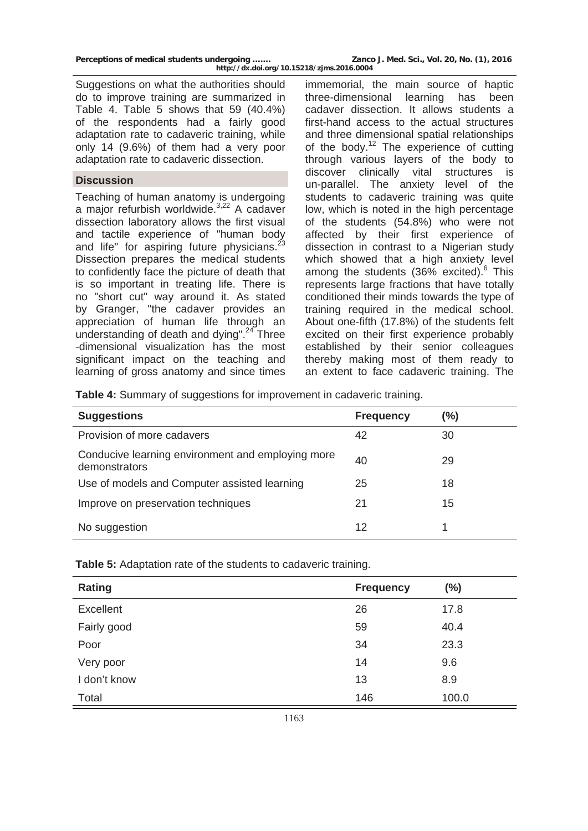| Perceptions of medical students undergoing | Zanco J. Med. Sci., Vol. 20, No. (1), 2016 |
|--------------------------------------------|--------------------------------------------|
| http://dx.doi.org/10.15218/zjms.2016.0004  |                                            |

Suggestions on what the authorities should do to improve training are summarized in Table 4. Table 5 shows that 59 (40.4%) of the respondents had a fairly good adaptation rate to cadaveric training, while only 14 (9.6%) of them had a very poor adaptation rate to cadaveric dissection.

#### **Discussion**

Teaching of human anatomy is undergoing a major refurbish worldwide.<sup>3,22</sup> A cadaver dissection laboratory allows the first visual and tactile experience of "human body and life" for aspiring future physicians. $^{23}$ Dissection prepares the medical students to confidently face the picture of death that is so important in treating life. There is no "short cut" way around it. As stated by Granger, "the cadaver provides an appreciation of human life through an understanding of death and dying".<sup>24</sup> Three -dimensional visualization has the most significant impact on the teaching and learning of gross anatomy and since times immemorial, the main source of haptic three-dimensional learning has been cadaver dissection. It allows students a first-hand access to the actual structures and three dimensional spatial relationships of the body.<sup>12</sup> The experience of cutting through various layers of the body to discover clinically vital structures is un-parallel. The anxiety level of the students to cadaveric training was quite low, which is noted in the high percentage of the students (54.8%) who were not affected by their first experience of dissection in contrast to a Nigerian study which showed that a high anxiety level among the students  $(36\% \text{ excited})$ .<sup>6</sup> This represents large fractions that have totally conditioned their minds towards the type of training required in the medical school. About one-fifth (17.8%) of the students felt excited on their first experience probably established by their senior colleagues thereby making most of them ready to an extent to face cadaveric training. The

**Table 4:** Summary of suggestions for improvement in cadaveric training.

| <b>Suggestions</b>                                                 | <b>Frequency</b> | $(\%)$ |
|--------------------------------------------------------------------|------------------|--------|
| Provision of more cadavers                                         | 42               | 30     |
| Conducive learning environment and employing more<br>demonstrators | 40               | 29     |
| Use of models and Computer assisted learning                       | 25               | 18     |
| Improve on preservation techniques                                 | 21               | 15     |
| No suggestion                                                      | 12               |        |

**Table 5:** Adaptation rate of the students to cadaveric training.

| <b>Rating</b> | <b>Frequency</b> | $(\% )$ |
|---------------|------------------|---------|
| Excellent     | 26               | 17.8    |
| Fairly good   | 59               | 40.4    |
| Poor          | 34               | 23.3    |
| Very poor     | 14               | 9.6     |
| I don't know  | 13               | 8.9     |
| Total         | 146              | 100.0   |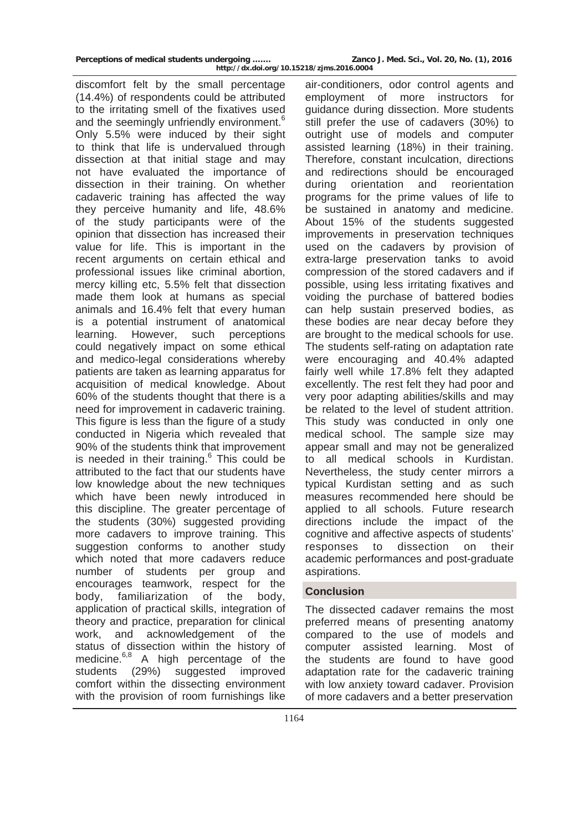| Perceptions of medical students undergoing | Zanco J. Med. Sci., Vol. 20, No. (1), 2016 |
|--------------------------------------------|--------------------------------------------|
| http://dx.doi.org/10.15218/zjms.2016.0004  |                                            |

discomfort felt by the small percentage (14.4%) of respondents could be attributed to the irritating smell of the fixatives used and the seemingly unfriendly environment.<sup>6</sup> Only 5.5% were induced by their sight to think that life is undervalued through dissection at that initial stage and may not have evaluated the importance of dissection in their training. On whether cadaveric training has affected the way they perceive humanity and life, 48.6% of the study participants were of the opinion that dissection has increased their value for life. This is important in the recent arguments on certain ethical and professional issues like criminal abortion, mercy killing etc, 5.5% felt that dissection made them look at humans as special animals and 16.4% felt that every human is a potential instrument of anatomical learning. However, such perceptions could negatively impact on some ethical and medico-legal considerations whereby patients are taken as learning apparatus for acquisition of medical knowledge. About 60% of the students thought that there is a need for improvement in cadaveric training. This figure is less than the figure of a study conducted in Nigeria which revealed that 90% of the students think that improvement is needed in their training. $6$  This could be attributed to the fact that our students have low knowledge about the new techniques which have been newly introduced in this discipline. The greater percentage of the students (30%) suggested providing more cadavers to improve training. This suggestion conforms to another study which noted that more cadavers reduce number of students per group and encourages teamwork, respect for the body, familiarization of the body, application of practical skills, integration of theory and practice, preparation for clinical work, and acknowledgement of the status of dissection within the history of medicine.<sup>6,8</sup> A high percentage of the students (29%) suggested improved comfort within the dissecting environment with the provision of room furnishings like

air-conditioners, odor control agents and employment of more instructors for guidance during dissection. More students still prefer the use of cadavers (30%) to outright use of models and computer assisted learning (18%) in their training. Therefore, constant inculcation, directions and redirections should be encouraged during orientation and reorientation programs for the prime values of life to be sustained in anatomy and medicine. About 15% of the students suggested improvements in preservation techniques used on the cadavers by provision of extra-large preservation tanks to avoid compression of the stored cadavers and if possible, using less irritating fixatives and voiding the purchase of battered bodies can help sustain preserved bodies, as these bodies are near decay before they are brought to the medical schools for use. The students self-rating on adaptation rate were encouraging and 40.4% adapted fairly well while 17.8% felt they adapted excellently. The rest felt they had poor and very poor adapting abilities/skills and may be related to the level of student attrition. This study was conducted in only one medical school. The sample size may appear small and may not be generalized to all medical schools in Kurdistan. Nevertheless, the study center mirrors a typical Kurdistan setting and as such measures recommended here should be applied to all schools. Future research directions include the impact of the cognitive and affective aspects of students' responses to dissection on their academic performances and post-graduate aspirations.

### **Conclusion**

The dissected cadaver remains the most preferred means of presenting anatomy compared to the use of models and computer assisted learning. Most of the students are found to have good adaptation rate for the cadaveric training with low anxiety toward cadaver. Provision of more cadavers and a better preservation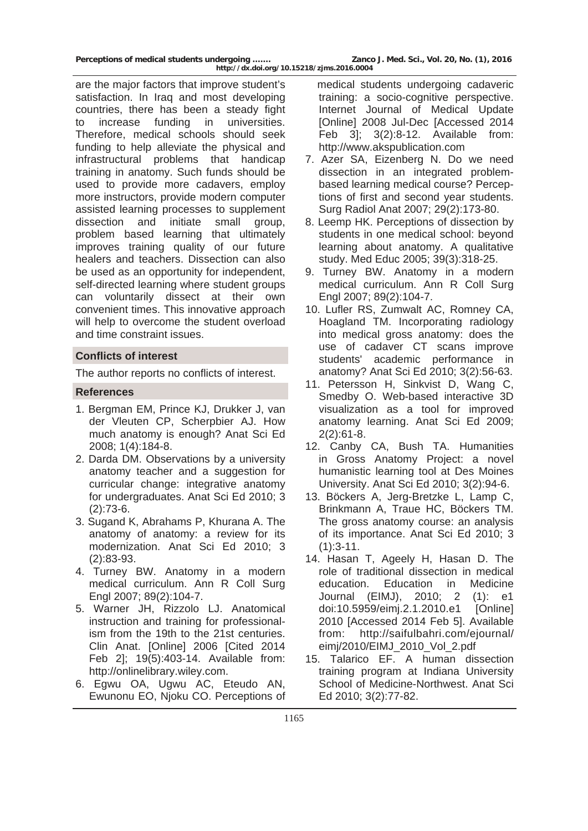are the major factors that improve student's satisfaction. In Iraq and most developing countries, there has been a steady fight to increase funding in universities. Therefore, medical schools should seek funding to help alleviate the physical and infrastructural problems that handicap training in anatomy. Such funds should be used to provide more cadavers, employ more instructors, provide modern computer assisted learning processes to supplement dissection and initiate small group, problem based learning that ultimately improves training quality of our future healers and teachers. Dissection can also be used as an opportunity for independent, self-directed learning where student groups can voluntarily dissect at their own convenient times. This innovative approach will help to overcome the student overload and time constraint issues.

### **Conflicts of interest**

The author reports no conflicts of interest.

## **References**

- 1. Bergman EM, Prince KJ, Drukker J, van der Vleuten CP, Scherpbier AJ. How much anatomy is enough? Anat Sci Ed 2008; 1(4):184-8.
- 2. Darda DM. Observations by a university anatomy teacher and a suggestion for curricular change: integrative anatomy for undergraduates. Anat Sci Ed 2010; 3 (2):73-6.
- 3. Sugand K, Abrahams P, Khurana A. The anatomy of anatomy: a review for its modernization. Anat Sci Ed 2010; 3 (2):83-93.
- 4. Turney BW. Anatomy in a modern medical curriculum. Ann R Coll Surg Engl 2007; 89(2):104-7.
- 5. Warner JH, Rizzolo LJ. Anatomical instruction and training for professionalism from the 19th to the 21st centuries. Clin Anat. [Online] 2006 [Cited 2014 Feb 2]; 19(5):403-14. Available from: <http://onlinelibrary.wiley.com>.
- 6. Egwu OA, Ugwu AC, Eteudo AN, Ewunonu EO, Njoku CO. Perceptions of

 medical students undergoing cadaveric training: a socio-cognitive perspective. Internet Journal of Medical Update [Online] 2008 Jul-Dec [Accessed 2014 Feb 3]; 3(2):8-12. Available from: http://www.akspublication.com

- 7. Azer SA, Eizenberg N. Do we need dissection in an integrated problembased learning medical course? Perceptions of first and second year students. Surg Radiol Anat 2007; 29(2):173-80.
- 8. Leemp HK. Perceptions of dissection by students in one medical school: beyond learning about anatomy. A qualitative study. Med Educ 2005; 39(3):318-25.
- 9. Turney BW. Anatomy in a modern medical curriculum. Ann R Coll Surg Engl 2007; 89(2):104-7.
- 10. Lufler RS, Zumwalt AC, Romney CA, Hoagland TM. Incorporating radiology into medical gross anatomy: does the use of cadaver CT scans improve students' academic performance in anatomy? Anat Sci Ed 2010; 3(2):56-63.
- 11. Petersson H, Sinkvist D, Wang C, Smedby O. Web-based interactive 3D visualization as a tool for improved anatomy learning. Anat Sci Ed 2009; 2(2):61-8.
- 12. Canby CA, Bush TA. Humanities in Gross Anatomy Project: a novel humanistic learning tool at Des Moines University. Anat Sci Ed 2010; 3(2):94-6.
- 13. Böckers A, Jerg-Bretzke L, Lamp C, Brinkmann A, Traue HC, Böckers TM. The gross anatomy course: an analysis of its importance. Anat Sci Ed 2010; 3 (1):3-11.
- 14. Hasan T, Ageely H, Hasan D. The role of traditional dissection in medical education. Education in Medicine Journal (EIMJ), 2010; 2 (1): e1 doi:10.5959/eimj.2.1.2010.e1 [Online] 2010 [Accessed 2014 Feb 5]. Available from: [http://saifulbahri.com/ejournal/](http://saifulbahri.com/ejournal/eimj/2010/EIMJ_2010_Vol_2.pdf) [eimj/2010/EIMJ\\_2010\\_Vol\\_2.pdf](http://saifulbahri.com/ejournal/eimj/2010/EIMJ_2010_Vol_2.pdf)
- 15. Talarico EF. A human dissection training program at Indiana University School of Medicine-Northwest. Anat Sci Ed 2010; 3(2):77-82.